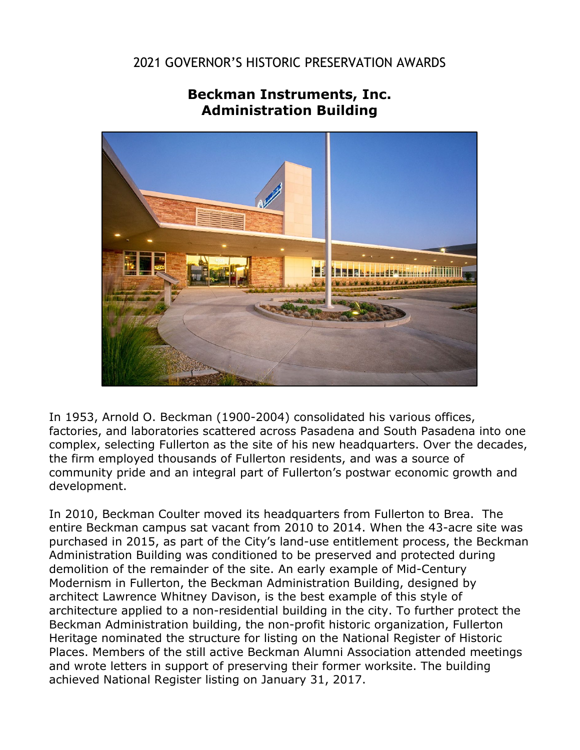## 2021 GOVERNOR'S HISTORIC PRESERVATION AWARDS

## **Beckman Instruments, Inc. Administration Building**

In 1953, Arnold O. Beckman (1900-2004) consolidated his various offices, factories, and laboratories scattered across Pasadena and South Pasadena into one complex, selecting Fullerton as the site of his new headquarters. Over the decades, the firm employed thousands of Fullerton residents, and was a source of community pride and an integral part of Fullerton's postwar economic growth and development.

In 2010, Beckman Coulter moved its headquarters from Fullerton to Brea. The entire Beckman campus sat vacant from 2010 to 2014. When the 43-acre site was purchased in 2015, as part of the City's land-use entitlement process, the Beckman Administration Building was conditioned to be preserved and protected during demolition of the remainder of the site. An early example of Mid-Century Modernism in Fullerton, the Beckman Administration Building, designed by architect Lawrence Whitney Davison, is the best example of this style of architecture applied to a non-residential building in the city. To further protect the Beckman Administration building, the non-profit historic organization, Fullerton Heritage nominated the structure for listing on the National Register of Historic Places. Members of the still active Beckman Alumni Association attended meetings and wrote letters in support of preserving their former worksite. The building achieved National Register listing on January 31, 2017.